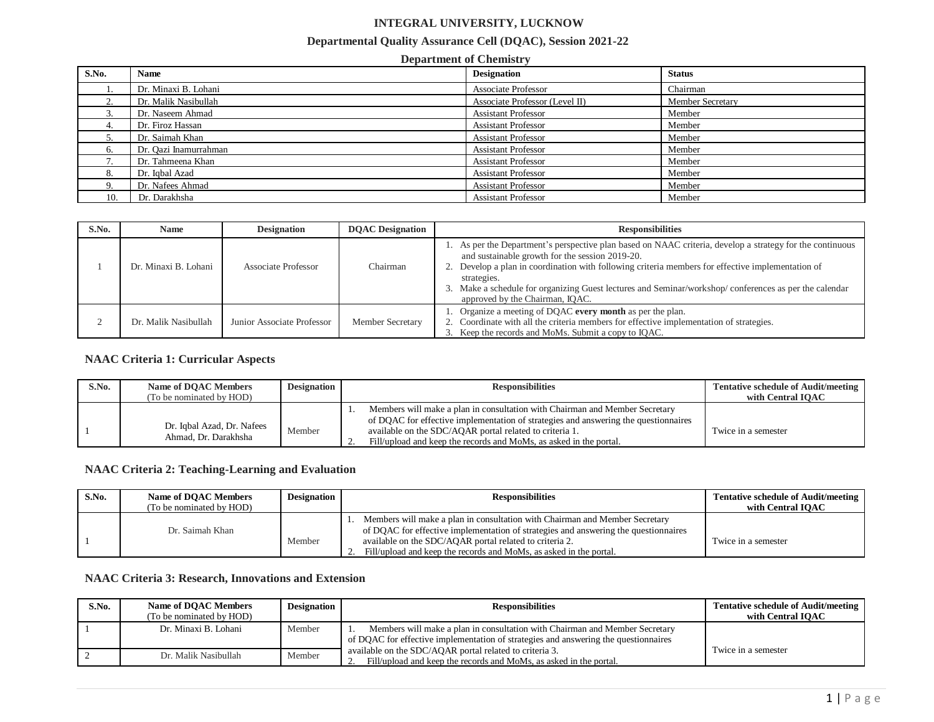# **INTEGRAL UNIVERSITY, LUCKNOW**

#### **Departmental Quality Assurance Cell (DQAC), Session 2021-22**

#### **Department of Chemistry S.No. Name Designation Status** 1. Dr. Minaxi B. Lohani Chairman Chairman Associate Professor Chairman Chairman 2. Dr. Malik Nasibullah Associate Professor (Level II) Member Secretary 3. Dr. Naseem Ahmad Member and Assistant Professor Member 4. Dr. Firoz Hassan Member **Assistant Professor** Member Assistant Professor Member 5. Dr. Saimah Khan Assistant Professor Member 6. Dr. Qazi Inamurrahman Assistant Professor Member 6. Dr. Qazi Inamurrahman Assistant Professor Member 6. Dr. Qazi Inamurrahman Assistant Professor Member 6. Dr. Qazi Inamurra 6. Dr. Qazi Inamurrahman Assistant Professor 7. Dr. Tahmeena Khan Member and Assistant Professor Member 8. Dr. Iqbal Azad Member 2008. Assistant Professor Member 9. Dr. Nafees Ahmad Member 2012 19:30 Assistant Professor Member 10. Dr. Darakhsha Member 1986, and the Assistant Professor Member

| S.No. | <b>Name</b>          | <b>Designation</b>         | <b>DOAC</b> Designation | <b>Responsibilities</b>                                                                                                                                                                                                                                                                                                                                                                                                      |
|-------|----------------------|----------------------------|-------------------------|------------------------------------------------------------------------------------------------------------------------------------------------------------------------------------------------------------------------------------------------------------------------------------------------------------------------------------------------------------------------------------------------------------------------------|
|       | Dr. Minaxi B. Lohani | Associate Professor        | Chairman                | As per the Department's perspective plan based on NAAC criteria, develop a strategy for the continuous<br>and sustainable growth for the session 2019-20.<br>2. Develop a plan in coordination with following criteria members for effective implementation of<br>strategies.<br>Make a schedule for organizing Guest lectures and Seminar/workshop/conferences as per the calendar<br>3.<br>approved by the Chairman, IQAC. |
|       | Dr. Malik Nasibullah | Junior Associate Professor | <b>Member Secretary</b> | Organize a meeting of DQAC every month as per the plan.<br>Coordinate with all the criteria members for effective implementation of strategies.<br>3. Keep the records and MoMs. Submit a copy to IQAC.                                                                                                                                                                                                                      |

### **NAAC Criteria 1: Curricular Aspects**

| S.No. | Name of DOAC Members<br>(To be nominated by HOD)   | <b>Designation</b> | <b>Responsibilities</b>                                                                                                                                                                                                                                                                             | <b>Tentative schedule of Audit/meeting</b><br>with Central IOAC |
|-------|----------------------------------------------------|--------------------|-----------------------------------------------------------------------------------------------------------------------------------------------------------------------------------------------------------------------------------------------------------------------------------------------------|-----------------------------------------------------------------|
|       | Dr. Iqbal Azad, Dr. Nafees<br>Ahmad, Dr. Darakhsha | Member             | Members will make a plan in consultation with Chairman and Member Secretary<br>of DOAC for effective implementation of strategies and answering the questionnaires<br>available on the SDC/AQAR portal related to criteria 1.<br>Fill/upload and keep the records and MoMs, as asked in the portal. | Twice in a semester                                             |

### **NAAC Criteria 2: Teaching-Learning and Evaluation**

| S.No. | Name of DOAC Members<br>(To be nominated by HOD) | <b>Designation</b> | <b>Responsibilities</b>                                                                                                                                                                                                                                                                                   | <b>Tentative schedule of Audit/meeting</b><br>with Central IOAC |
|-------|--------------------------------------------------|--------------------|-----------------------------------------------------------------------------------------------------------------------------------------------------------------------------------------------------------------------------------------------------------------------------------------------------------|-----------------------------------------------------------------|
|       | Dr. Saimah Khan                                  | Member             | 1. Members will make a plan in consultation with Chairman and Member Secretary<br>of DOAC for effective implementation of strategies and answering the questionnaires<br>available on the SDC/AQAR portal related to criteria 2.<br>2. Fill/upload and keep the records and MoMs, as asked in the portal. | Twice in a semester                                             |

## **NAAC Criteria 3: Research, Innovations and Extension**

| S.No. | Name of DOAC Members<br>(To be nominated by HOD) | <b>Designation</b> | <b>Responsibilities</b>                                                                                                                                            | <b>Tentative schedule of Audit/meeting</b><br>with Central IOAC |
|-------|--------------------------------------------------|--------------------|--------------------------------------------------------------------------------------------------------------------------------------------------------------------|-----------------------------------------------------------------|
|       | Dr. Minaxi B. Lohani                             | Member             | Members will make a plan in consultation with Chairman and Member Secretary<br>of DQAC for effective implementation of strategies and answering the questionnaires |                                                                 |
|       |                                                  |                    |                                                                                                                                                                    | Twice in a semester                                             |
|       | Dr. Malik Nasibullah                             | Member             | available on the SDC/AQAR portal related to criteria 3.<br>Fill/upload and keep the records and MoMs, as asked in the portal.                                      |                                                                 |